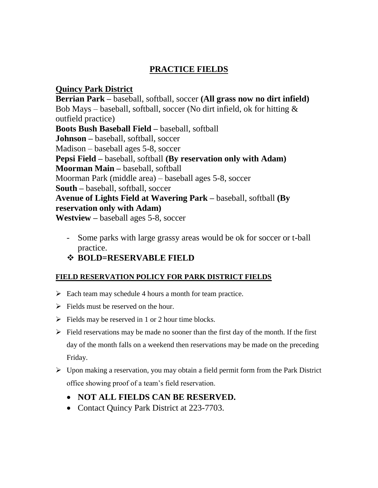# **PRACTICE FIELDS**

## **Quincy Park District**

**Berrian Park –** baseball, softball, soccer **(All grass now no dirt infield)** Bob Mays – baseball, softball, soccer (No dirt infield, ok for hitting  $\&$ outfield practice) **Boots Bush Baseball Field –** baseball, softball **Johnson –** baseball, softball, soccer Madison – baseball ages 5-8, soccer **Pepsi Field –** baseball, softball **(By reservation only with Adam) Moorman Main –** baseball, softball Moorman Park (middle area) – baseball ages 5-8, soccer **South –** baseball, softball, soccer **Avenue of Lights Field at Wavering Park –** baseball, softball **(By reservation only with Adam) Westview –** baseball ages 5-8, soccer

- Some parks with large grassy areas would be ok for soccer or t-ball practice.
- **BOLD=RESERVABLE FIELD**

#### **FIELD RESERVATION POLICY FOR PARK DISTRICT FIELDS**

- $\triangleright$  Each team may schedule 4 hours a month for team practice.
- $\triangleright$  Fields must be reserved on the hour.
- $\triangleright$  Fields may be reserved in 1 or 2 hour time blocks.
- $\triangleright$  Field reservations may be made no sooner than the first day of the month. If the first day of the month falls on a weekend then reservations may be made on the preceding Friday.
- $\triangleright$  Upon making a reservation, you may obtain a field permit form from the Park District office showing proof of a team's field reservation.
	- **NOT ALL FIELDS CAN BE RESERVED.**
	- Contact Quincy Park District at 223-7703.